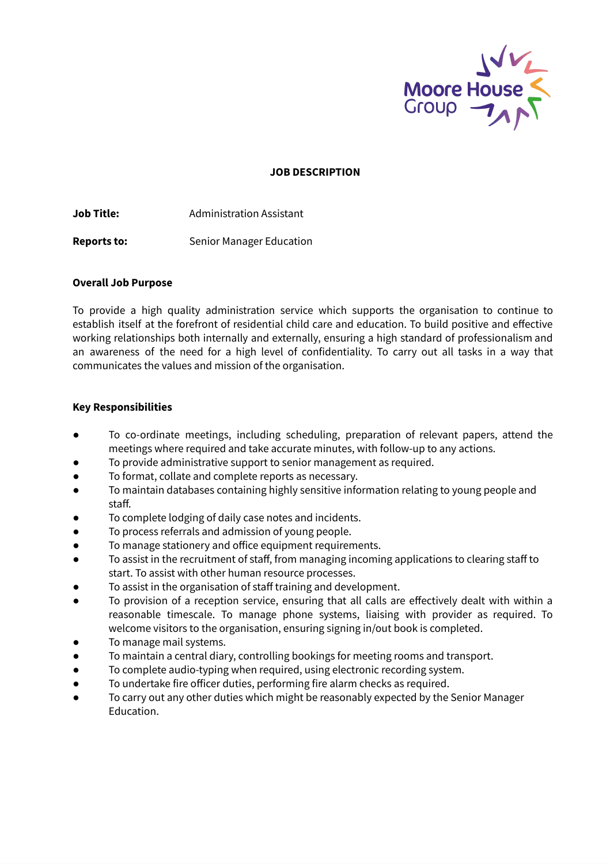

#### **JOB DESCRIPTION**

**Job Title:** Administration Assistant

**Reports to:** Senior Manager Education

### **Overall Job Purpose**

To provide a high quality administration service which supports the organisation to continue to establish itself at the forefront of residential child care and education. To build positive and effective working relationships both internally and externally, ensuring a high standard of professionalism and an awareness of the need for a high level of confidentiality. To carry out all tasks in a way that communicates the values and mission of the organisation.

### **Key Responsibilities**

- To co-ordinate meetings, including scheduling, preparation of relevant papers, attend the meetings where required and take accurate minutes, with follow-up to any actions.
- To provide administrative support to senior management as required.
- To format, collate and complete reports as necessary.
- To maintain databases containing highly sensitive information relating to young people and staff.
- To complete lodging of daily case notes and incidents.
- To process referrals and admission of young people.
- To manage stationery and office equipment requirements.
- To assist in the recruitment of staff, from managing incoming applications to clearing staff to start. To assist with other human resource processes.
- To assist in the organisation of staff training and development.
- To provision of a reception service, ensuring that all calls are effectively dealt with within a reasonable timescale. To manage phone systems, liaising with provider as required. To welcome visitors to the organisation, ensuring signing in/out book is completed.
- To manage mail systems.
- To maintain a central diary, controlling bookings for meeting rooms and transport.
- To complete audio-typing when required, using electronic recording system.
- To undertake fire officer duties, performing fire alarm checks as required.
- To carry out any other duties which might be reasonably expected by the Senior Manager Education.